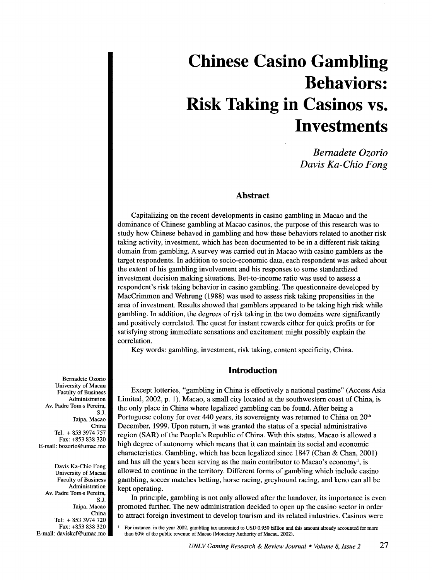# **Chinese Casino Gambling Behaviors: Risk Taking in Casinos vs. Investments**

*Bernadete Ozorio Davis Ka-Chio Fong* 

# **Abstract**

Capitalizing on the recent developments in casino gambling in Macao and the dominance of Chinese gambling at Macao casinos, the purpose of this research was to study how Chinese behaved in gambling and how these behaviors related to another risk taking activity, investment, which has been documented to be in a different risk taking domain from gambling. A survey was carried out in Macao with casino gamblers as the target respondents. In addition to socio-economic data, each respondent was asked about the extent of his gambling involvement and his responses to some standardized investment decision making situations. Bet-to-income ratio was used to assess a respondent's risk taking behavior in casino gambling. The questionnaire developed by MacCrimmon and Wehrung (1988) was used to assess risk taking propensities in the area of investment. Results showed that gamblers appeared to be taking high risk while gambling. In addition, the degrees of risk taking in the two domains were significantly and positively correlated. The quest for instant rewards either for quick profits or for satisfying strong immediate sensations and excitement might possibly explain the correlation.

Key words: gambling, investment, risk taking, content specificity, China.

# **Introduction**

Except lotteries, "gambling in China is effectively a national pastime" (Access Asia Limited, 2002, p. 1). Macao, a small city located at the southwestern coast of China, is the only place in China where legalized gambling can be found. After being a Portuguese colony for over 440 years, its sovereignty was returned to China on 20<sup>th</sup> December, 1999. Upon return, it was granted the status of a special administrative region (SAR) of the People's Republic of China. With this status, Macao is allowed a high degree of autonomy which means that it can maintain its social and economic characteristics. Gambling, which has been legalized since 1847 (Chan & Chan, 2001) and has all the years been serving as the main contributor to Macao's economy<sup>1</sup>, is allowed to continue in the territory. Different forms of gambling which include casino gambling, soccer matches betting, horse racing, greyhound racing, and keno can all be kept operating.

In principle, gambling is not only allowed after the handover, its importance is even promoted further. The new administration decided to open up the casino sector in order to attract foreign investment to develop tourism and its related industries. Casinos were

<sup>1</sup>For instance, in the year 2002, gambling tax amounted to USD 0.950 billion and this amount already accounted for more than 60% of the public revenue of Macao (Monetary Authority of Macau, 2002).

Bemadete Ozorio University of Macau Faculty of Business Administration Av. Padre Tom·s Pereira, S.J. Taipa, Macao China Tel: + 853 3974 757 Fax: +853 838 320 E-mail: bozorio@umac.mo

Davis Ka-Chio Fong University of Macau Faculty of Business Administration Av. Padre Tom·s Pereira, S.J. Taipa, Macao China Tel: + 853 3974 720 Fax: +853 838 320 E-mail: daviskcf@umac.mo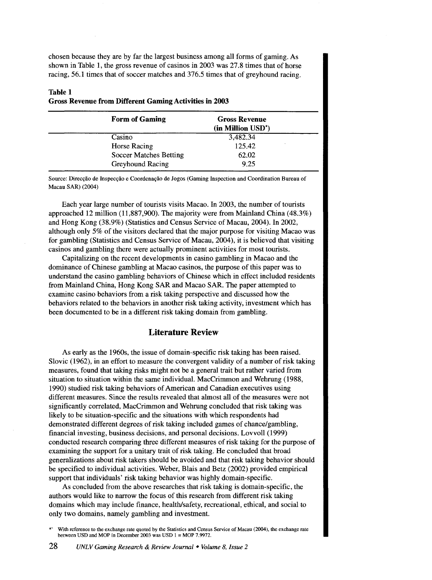chosen because they are by far the largest business among all forms of gaming. As shown in Table 1, the gross revenue of casinos in 2003 was 27.8 times that of horse racing, 56.1 times that of soccer matches and 376.5 times that of greyhound racing.

## Table 1 Gross Revenue from Different Gaming Activities in 2003

| <b>Form of Gaming</b>         | <b>Gross Revenue</b><br>(in Million USD <sup>*</sup> ) |
|-------------------------------|--------------------------------------------------------|
| Casino                        | 3,482.34                                               |
| <b>Horse Racing</b>           | 125.42                                                 |
| <b>Soccer Matches Betting</b> | 62.02                                                  |
| <b>Greyhound Racing</b>       | 9.25                                                   |

Source: Direccão de Inspecção e Coordenação de Jogos (Gaming Inspection and Coordination Bureau of Macau SAR) (2004)

Each year large number of tourists visits Macao. In 2003, the number of tourists approached 12 million (11,887,900). The majority were from Mainland China (48.3%) and Hong Kong (38.9%) (Statistics and Census Service of Macau, 2004). In 2002, although only 5% of the visitors declared that the major purpose for visiting Macao was for gambling (Statistics and Census Service of Macau, 2004 ), it is believed that visiting casinos and gambling there were actually prominent activities for most tourists.

Capitalizing on the recent developments in casino gambling in Macao and the dominance of Chinese gambling at Macao casinos, the purpose of this paper was to understand the casino gambling behaviors of Chinese which in effect included residents from Mainland China, Hong Kong SAR and Macao SAR. The paper attempted to examine casino behaviors from a risk taking perspective and discussed how the behaviors related to the behaviors in another risk taking activity, investment which has been documented to be in a different risk taking domain from gambling.

# **Literature** Review

As early as the 1960s, the issue of domain-specific risk taking has been raised. Slovic (1962), in an effort to measure the convergent validity of a number of risk taking measures, found that taking risks might not be a general trait but rather varied from situation to situation within the same individual. MacCrimmon and Wehrung (1988, 1990) studied risk taking behaviors of American and Canadian executives using different measures. Since the results revealed that almost all of the measures were not significantly correlated, MacCrimmon and Wehrung concluded that risk taking was likely to be situation-specific and the situations with which respondents had demonstrated different degrees of risk taking included games of chance/gambling, financial investing, business decisions, and personal decisions. Lovvoll (1999) conducted research comparing three different measures of risk taking for the purpose of examining the support for a unitary trait of risk taking. He concluded that broad generalizations about risk takers should be avoided and that risk taking behavior should be specified to individual activities. Weber, Blais and Betz (2002) provided empirical support that individuals' risk taking behavior was highly domain-specific.

As concluded from the above researches that risk taking is domain-specific, the authors would like to narrow the focus of this research from different risk taking domains which may include finance, health/safety, recreational, ethical, and social to only two domains, namely gambling and investment.

With reference to the exchange rate quoted by the Statistics and Census Service of Macau (2004), the exchange rate between USD and MOP in December 2003 was USD  $1 = \text{MOP}$  7.9972.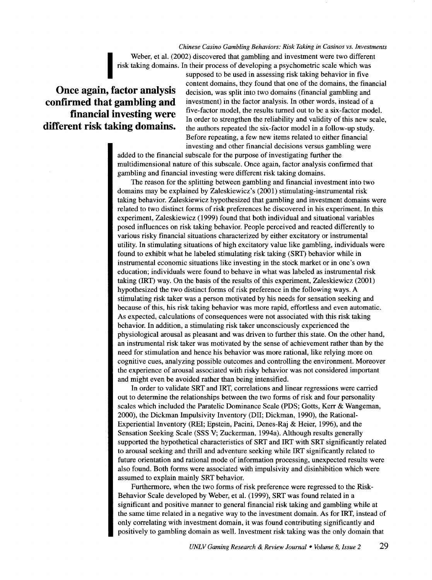*Chinese Casino Gambling Behaviors: Risk Taking in Casinos vs. Investments*  Weber, et al. (2002) discovered that gambling and investment were two different risk taking domains. In their process of developing a psychometric scale which was supposed to be used in assessing risk taking behavior in fi risk taking domains. In their process of developing a psychometric scale which was

# **Once again, factor analysis confirmed that gambling and financial investing were different risk taking domains.**

supposed to be used in assessing risk taking behavior in five content domains, they found that one of the domains, the financial decision, was split into two domains (financial gambling and investment) in the factor analysis. In other words, instead of a five-factor model, the results turned out to be a six-factor model. In order to strengthen the reliability and validity of this new scale, the authors repeated the six-factor model in a follow-up study. Before repeating, a few new items related to either financial investing and other financial decisions versus gambling were

added to the financial subscale for the purpose of investigating further the multidimensional nature of this subscale. Once again, factor analysis confirmed that gambling and financial investing were different risk taking domains.

The reason for the splitting between gambling and financial investment into two domains may be explained by Zaleskiewicz's (2001) stimulating-instrumental risk taking behavior. Zaleskiewicz hypothesized that gambling and investment domains were related to two distinct forms of risk preferences he discovered in his experiment. In this experiment, Zaleskiewicz (1999) found that both individual and situational variables posed influences on risk taking behavior. People perceived and reacted differently to various risky financial situations characterized by either excitatory or instrumental utility. In stimulating situations of high excitatory value like gambling, individuals were found to exhibit what he labeled stimulating risk taking (SRT) behavior while in instrumental economic situations like investing in the stock market or in one's own education; individuals were found to behave in what was labeled as instrumental risk taking (IRT) way. On the basis of the results of this experiment, Zaleskiewicz (2001) hypothesized the two distinct forms of risk preference in the following ways. A stimulating risk taker was a person motivated by his needs for sensation seeking and because of this, his risk taking behavior was more rapid, effortless and even automatic. As expected, calculations of consequences were not associated with this risk taking behavior. In addition, a stimulating risk taker unconsciously experienced the physiological arousal as pleasant and was driven to further this state. On the other hand, an instrumental risk taker was motivated by the sense of achievement rather than by the need for stimulation and hence his behavior was more rational, like relying more on cognitive cues, analyzing possible outcomes and controlling the environment. Moreover the experience of arousal associated with risky behavior was not considered important and might even be avoided rather than being intensified.

In order to validate SRT and IRT, correlations and linear regressions were carried out to determine the relationships between the two forms of risk and four personality scales which included the Paratelic Dominance Scale (PDS; Gotts, Kerr & Wangeman, 2000), the Dickman Impulsivity Inventory (DII; Dickman, 1990), the Rational-Experiential Inventory (REI; Epstein, Pacini, Denes-Raj & Heier, 1996), and the Sensation Seeking Scale (SSS V; Zuckerman, 1994a). Although results generally supported the hypothetical characteristics of SRT and IRT with SRT significantly related to arousal seeking and thrill and adventure seeking while IRT significantly related to future orientation and rational mode of information processing, unexpected results were also found. Both forms were associated with impulsivity and disinhibition which were assumed to explain mainly SRT behavior.

Furthermore, when the two forms of risk preference were regressed to the Risk-Behavior Scale developed by Weber, et al. (1999), SRT was found related in a significant and positive manner to general financial risk taking and gambling while at the same time related in a negative way to the investment domain. As for IRT, instead of only correlating with investment domain, it was found contributing significantly and positively to gambling domain as well. Investment risk taking was the only domain that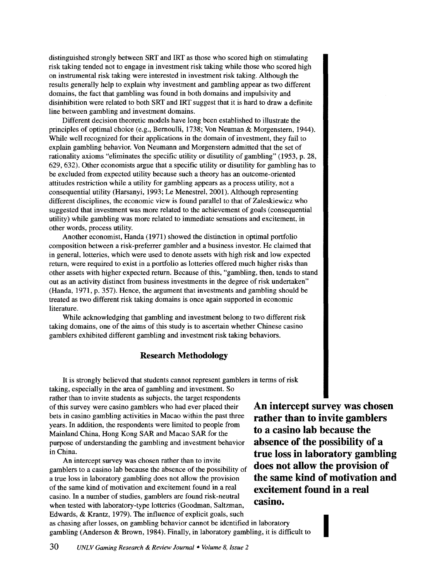distinguished strongly between SRT and IRT as those who scored high on stimulating risk taking tended not to engage in investment risk taking while those who scored high on instrumental risk taking were interested in investment risk taking. Although the results generally help to explain why investment and gambling appear as two different domains, the fact that gambling was found in both domains and impulsivity and disinhibition were related to both SRT and IRT suggest that it is hard to draw a definite line between gambling and investment domains.

Different decision theoretic models have long been established to illustrate the principles of optimal choice (e.g., Bernoulli, 1738; Von Neuman & Morgenstern, 1944). While well recognized for their applications in the domain of investment, they fail to explain gambling behavior. Von Neumann and Morgenstern admitted that the set of rationality axioms "eliminates the specific utility or disutility of gambling" (1953, p. 28, 629, 632). Other economists argue that a specific utility or disutility for gambling has to be excluded from expected utility because such a theory has an outcome-oriented attitudes restriction while a utility for gambling appears as a process utility, not a consequential utility (Harsanyi, 1993; Le Menestrel, 2001). Although representing different disciplines, the economic view is found parallel to that of Zaleskiewicz who suggested that investment was more related to the achievement of goals (consequential utility) while gambling was more related to immediate sensations and excitement, in other words, process utility.

Another economist, Handa (1971) showed the distinction in optimal portfolio composition between a risk-preferrer gambler and a business investor. He claimed that in general, lotteries, which were used to denote assets with high risk and low expected return, were required to exist in a portfolio as lotteries offered much higher risks than other assets with higher expected return. Because of this, "gambling, then, tends to stand out as an activity distinct from business investments in the degree of risk undertaken" (Handa, 1971, p. 357). Hence, the argument that investments and gambling should be treated as two different risk taking domains is once again supported in economic literature.

While acknowledging that gambling and investment belong to two different risk taking domains, one of the aims of this study is to ascertain whether Chinese casino gamblers exhibited different gambling and investment risk taking behaviors.

# **Research Methodology**

It is strongly believed that students cannot represent gamblers in terms of risk taking, especially in the area of gambling and investment. So rather than to invite students as subjects, the target respondents of this survey were casino gamblers who had ever placed their bets in casino gambling activities in Macao within the past three years. In addition, the respondents were limited to people from Mainland China, Hong Kong SAR and Macao SAR for the purpose of understanding the gambling and investment behavior in China.

An intercept survey was chosen rather than to invite gamblers to a casino lab because the absence of the possibility of a true loss in laboratory gambling does not allow the provision of the same kind of motivation and excitement found in a real casino. In a number of studies, gamblers are found risk-neutral **Casino.** when tested with laboratory-type lotteries (Goodman, Saltzman, Edwards, & Krantz, 1979). The influence of explicit goals, such

**An intercept survey was chosen rather than to invite gamblers to a casino lab because the absence of the possibility of a true loss in laboratory gambling does not allow the provision of the same kind of motivation and excitement found in a real** 

I

as chasing after losses, on gambling behavior cannot be identified in laboratory gambling (Anderson & Brown, 1984). Finally, in laboratory gambling, it is difficult to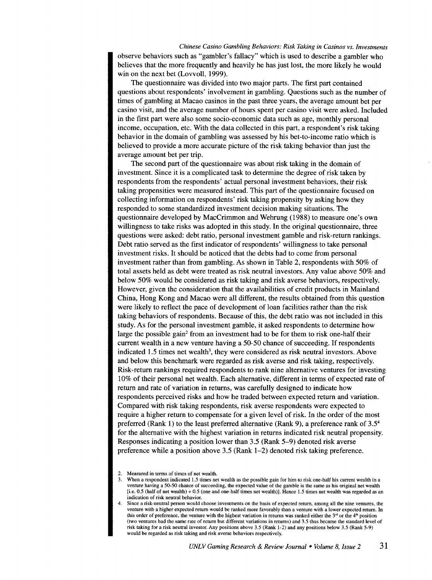*Chinese Casino Gambling Behaviors: Risk Taking in Casinos vs. Investments*  observe behaviors such as "gambler's fallacy" which is used to describe a gambler who believes that the more frequently and heavily he has just lost, the more likely he would win on the next bet (Lovvoll, 1999).

The questionnaire was divided into two major parts. The first part contained questions about respondents' involvement in gambling. Questions such as the number of times of gambling at Macao casinos in the past three years, the average amount bet per casino visit, and the average number of hours spent per casino visit were asked. Included in the first part were also some socio-economic data such as age, monthly personal income, occupation, etc. With the data collected in this part, a respondent's risk taking behavior in the domain of gambling was assessed by his bet-to-income ratio which is believed to provide a more accurate picture of the risk taking behavior than just the average amount bet per trip.

The second part of the questionnaire was about risk taking in the domain of investment. Since it is a complicated task to determine the degree of risk taken by respondents from the respondents' actual personal investment behaviors, their risk taking propensities were measured instead. This part of the questionnaire focused on collecting information on respondents' risk taking propensity by asking how they responded to some standardized investment decision making situations. The questionnaire developed by MacCrimmon and Wehrung (1988) to measure one's own willingness to take risks was adopted in this study. In the original questionnaire, three questions were asked: debt ratio, personal investment gamble and risk-return rankings. Debt ratio served as the first indicator of respondents' willingness to take personal investment risks. It should be noticed that the debts had to come from personal investment rather than from gambling. As shown in Table 2, respondents with 50% of total assets held as debt were treated as risk neutral investors. Any value above 50% and below 50% would be considered as risk taking and risk averse behaviors, respectively. However, given the consideration that the availabilities of credit products in Mainland China, Hong Kong and Macao were all different, the results obtained from this question were likely to reflect the pace of development of loan facilities rather than the risk taking behaviors of respondents. Because of this, the debt ratio was not included in this study. As for the personal investment gamble, it asked respondents to determine how large the possible gain<sup>2</sup> from an investment had to be for them to risk one-half their current wealth in a new venture having a 50-50 chance of succeeding. If respondents indicated 1.5 times net wealth<sup>3</sup>, they were considered as risk neutral investors. Above and below this benchmark were regarded as risk averse and risk taking, respectively. Risk-return rankings required respondents to rank nine alternative ventures for investing 10% of their personal net wealth. Each alternative, different in terms of expected rate of return and rate of variation in returns, was carefully designed to indicate how respondents perceived risks and how he traded between expected return and variation. Compared with risk taking respondents, risk averse respondents were expected to require a higher return to compensate for a given level of risk. In the order of the most preferred (Rank 1) to the least preferred alternative (Rank 9), a preference rank of 3.54 for the alternative with the highest variation in returns indicated risk neutral propensity. Responses indicating a position lower than 3.5 (Rank 5-9) denoted risk averse preference while a position above 3.5 (Rank 1-2) denoted risk taking preference.

<sup>2.</sup> Measured in terms of times of net wealth.

<sup>3.</sup> When a respondent indicated 1.5 times net wealth as the possible gain for him to risk one-half his current wealth in a venture having a 50-50 chance of succeeding, the expected value of the gamble is the same as his original net wealth [i.e. 0.5 (half of net wealth)+ 0.5 (one and one-half times net wealth)]. Hence 1.5 times net wealth was regarded as an indication of risk neutral behavior.

<sup>4.</sup> Since a risk-neutral person would choose investments on the basis of expected return, among all the nine ventures, the venture with a higher expected return would be ranked more favorably than a venture with a lower expected return. In this order of preference, the venture with the highest variation in returns was ranked either the  $3<sup>rd</sup>$  or the  $4<sup>th</sup>$  position (two ventures had the same rate of return but different variations in returns) and 3.5 thus became the standard level of risk taking for a risk neutral investor. Any positions above 3.5 (Rank 1-2) and any positions below 3.5 (Rank 5-9) would be regarded as risk taking and risk averse behaviors respectively.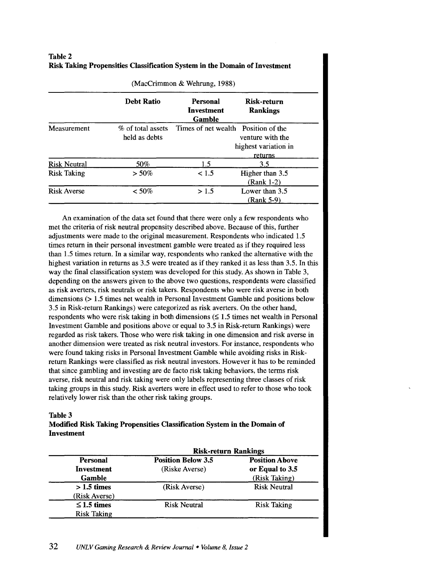| Table 2 |                                                                            |
|---------|----------------------------------------------------------------------------|
|         | Risk Taking Propensities Classification System in the Domain of Investment |

|                     | <b>Debt Ratio</b>                  | Personal<br>Investment<br>Gamble    | Risk-return<br><b>Rankings</b>                      |
|---------------------|------------------------------------|-------------------------------------|-----------------------------------------------------|
| Measurement         | % of total assets<br>held as debts | Times of net wealth Position of the | venture with the<br>highest variation in<br>returns |
| <b>Risk Neutral</b> | 50%                                | 1.5                                 | 3.5                                                 |
| <b>Risk Taking</b>  | $> 50\%$                           | < 1.5                               | Higher than 3.5<br>(Rank 1-2)                       |
| <b>Risk Averse</b>  | $< 50\%$                           | >1.5                                | Lower than 3.5<br>(Rank 5-9)                        |

(MacCrimmon & Wehrung, 1988)

An examination of the data set found that there were only a few respondents who met the criteria of risk neutral propensity described above. Because of this, further adjustments were made to the original measurement. Respondents who indicated 1.5 times return in their personal investment gamble were treated as if they required less than 1.5 times return. In a similar way, respondents who ranked the alternative with the highest variation in returns as 3.5 were treated as if they ranked it as less than 3.5. In this way the final classification system was developed for this study. As shown in Table 3, depending on the answers given to the above two questions, respondents were classified as risk averters, risk neutrals or risk takers. Respondents who were risk averse in both dimensions (> 1.5 times net wealth in Personal Investment Gamble and positions below 3.5 in Risk-return Rankings) were categorized as risk averters. On the other hand, respondents who were risk taking in both dimensions  $(\leq 1.5$  times net wealth in Personal Investment Gamble and positions above or equal to 3.5 in Risk-return Rankings) were regarded as risk takers. Those who were risk taking in one dimension and risk averse in another dimension were treated as risk neutral investors. For instance, respondents who were found taking risks in Personal Investment Gamble while avoiding risks in Riskreturn Rankings were classified as risk neutral investors. However it has to be reminded that since gambling and investing are de facto risk taking behaviors, the terms risk averse, risk neutral and risk taking were only labels representing three classes of risk taking groups in this study. Risk averters were in effect used to refer to those who took relatively lower risk than the other risk taking groups.

#### **Table3**

## **Modified Risk Taking Propensities Classification System in the Domain of Investment**

|                    | <b>Risk-return Rankings</b> |                       |  |
|--------------------|-----------------------------|-----------------------|--|
| <b>Personal</b>    | <b>Position Below 3.5</b>   | <b>Position Above</b> |  |
| Investment         | (Riske Averse)              | or Equal to 3.5       |  |
| <b>Gamble</b>      |                             | (Risk Taking)         |  |
| $>1.5$ times       | (Risk Averse)               | <b>Risk Neutral</b>   |  |
| (Risk Averse)      |                             |                       |  |
| $\leq$ 1.5 times   | <b>Risk Neutral</b>         | <b>Risk Taking</b>    |  |
| <b>Risk Taking</b> |                             |                       |  |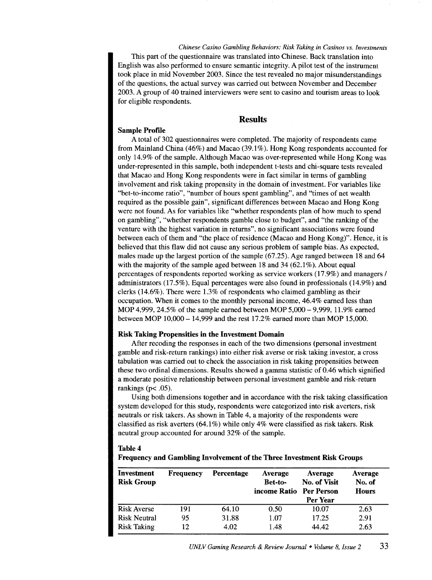*Chinese Casino Gambling Behaviors: Risk Taking in Casinos vs. Investments*  This part of the questionnaire was translated into Chinese. Back translation into English was also performed to ensure semantic integrity. A pilot test of the instrument took place in mid November 2003. Since the test revealed no major misunderstandings of the questions, the actual survey was carried out between November and December 2003. A group of 40 trained interviewers were sent to casino and tourism areas to look for eligible respondents.

#### Results

#### Sample Profile

A total of 302 questionnaires were completed. The majority of respondents came from Mainland China ( 46%) and Macao (39 .1% ). Hong Kong respondents accounted for only 14.9% of the sample. Although Macao was over-represented while Hong Kong was under-represented in this sample, both independent t-tests and chi-square tests revealed that Macao and Hong Kong respondents were in fact similar in terms of gambling involvement and risk taking propensity in the domain of investment. For variables like "bet-to-income ratio", "number of hours spent gambling", and "times of net wealth required as the possible gain", significant differences between Macao and Hong Kong were not found. As for variables like "whether respondents plan of how much to spend on gambling", "whether respondents gamble close to budget", and "the ranking of the venture with the highest variation in returns", no significant associations were found between each of them and "the place of residence (Macao and Hong Kong)". Hence, it is believed that this flaw did not cause any serious problem of sample bias. As expected, males made up the largest portion of the sample (67.25). Age ranged between 18 and 64 with the majority of the sample aged between  $18$  and  $34$  ( $62.1\%$ ). About equal percentages of respondents reported working as service workers (17.9%) and managers I administrators (17.5% ). Equal percentages were also found in professionals (14.9%) and clerks (14.6%). There were 1.3% of respondents who claimed gambling as their occupation. When it comes to the monthly personal income, 46.4% earned less than MOP 4,999, 24.5% of the sample earned between MOP 5,000- 9,999, 11.9% earned between MOP 10,000- 14,999 and the rest 17.2% earned more than MOP 15,000.

#### Risk Taking Propensities in the Investment Domain

After recoding the responses in each of the two dimensions (personal investment gamble and risk-return rankings) into either risk averse or risk taking investor, a cross tabulation was carried out to check the association in risk taking propensities between these two ordinal dimensions. Results showed a gamma statistic of 0.46 which signified a moderate positive relationship between personal investment gamble and risk-return rankings ( $p$ < .05).

Using both dimensions together and in accordance with the risk taking classification system developed for this study, respondents were categorized into risk averters, risk neutrals or risk takers. As shown in Table 4, a majority of the respondents were classified as risk averters (64.1%) while only 4% were classified as risk takers. Risk neutral group accounted for around 32% of the sample.

| <b>Table 4</b>                                                                |  |
|-------------------------------------------------------------------------------|--|
| <b>Frequency and Gambling Involvement of the Three Investment Risk Groups</b> |  |

| Investment          | <b>Frequency</b> | Percentage | <b>Average</b>                            | Average      | Average                |
|---------------------|------------------|------------|-------------------------------------------|--------------|------------------------|
| <b>Risk Group</b>   |                  |            | <b>Bet-to-</b><br>income Ratio Per Person | No. of Visit | No. of<br><b>Hours</b> |
|                     |                  |            |                                           | Per Year     |                        |
| <b>Risk Averse</b>  | 191              | 64.10      | 0.50                                      | 10.07        | 2.63                   |
| <b>Risk Neutral</b> | 95               | 31.88      | 1.07                                      | 17.25        | 2.91                   |
| <b>Risk Taking</b>  | 12               | 4.02       | 1.48                                      | 44.42        | 2.63                   |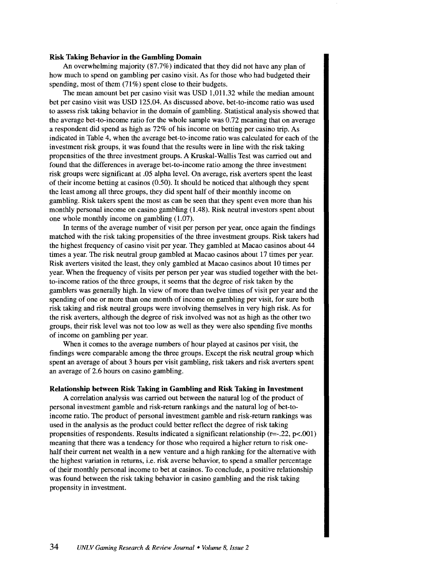#### **Risk Taking Behavior in the Gambling Domain**

An overwhelming majority (87.7%) indicated that they did not have any plan of how much to spend on gambling per casino visit. As for those who had budgeted their spending, most of them (71%) spent close to their budgets.

The mean amount bet per casino visit was USD 1,011.32 while the median amount bet per casino visit was USD 125.04. As discussed above, bet-to-income ratio was used to assess risk taking behavior in the domain of gambling. Statistical analysis showed that the average bet-to-income ratio for the whole sample was 0.72 meaning that on average a respondent did spend as high as 72% of his income on betting per casino trip. As indicated in Table 4, when the average bet-to-income ratio was calculated for each of the investment risk groups, it was found that the results were in line with the risk taking propensities of the three investment groups. A Kruskal-Wallis Test was carried out and found that the differences in average bet-to-income ratio among the three investment risk groups were significant at .05 alpha level. On average, risk averters spent the least of their income betting at casinos (0.50). It should be noticed that although they spent the least among all three groups, they did spent half of their monthly income on gambling. Risk takers spent the most as can be seen that they spent even more than his monthly personal income on casino gambling (1.48). Risk neutral investors spent about one whole monthly income on gambling (1.07).

In terms of the average number of visit per person per year, once again the findings matched with the risk taking propensities of the three investment groups. Risk takers had the highest frequency of casino visit per year. They gambled at Macao casinos about 44 times a year. The risk neutral group gambled at Macao casinos about 17 times per year. Risk averters visited the least, they only gambled at Macao casinos about 10 times per year. When the frequency of visits per person per year was studied together with the betto-income ratios of the three groups, it seems that the degree of risk taken by the gamblers was generally high. In view of more than twelve times of visit per year and the spending of one or more than one month of income on gambling per visit, for sure both risk taking and risk neutral groups were involving themselves in very high risk. As for the risk averters, although the degree of risk involved was not as high as the other two groups, their risk level was not too low as well as they were also spending five months of income on gambling per year.

When it comes to the average numbers of hour played at casinos per visit, the findings were comparable among the three groups. Except the risk neutral group which spent an average of about 3 hours per visit gambling, risk takers and risk averters spent an average of 2.6 hours on casino gambling.

#### **Relationship between Risk Taking in Gambling and Risk Taking in Investment**

A correlation analysis was carried out between the natural log of the product of personal investment gamble and risk-return rankings and the natural log of bet-toincome ratio. The product of personal investment gamble and risk-return rankings was used in the analysis as the product could better reflect the degree of risk taking propensities of respondents. Results indicated a significant relationship  $(r=.22, p<.001)$ meaning that there was a tendency for those who required a higher return to risk onehalf their current net wealth in a new venture and a high ranking for the alternative with the highest variation in returns, i.e. risk averse behavior, to spend a smaller percentage of their monthly personal income to bet at casinos. To conclude, a positive relationship was found between the risk taking behavior in casino gambling and the risk taking propensity in investment.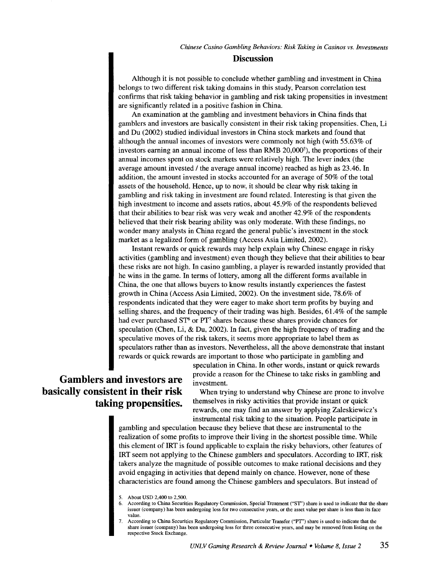### **Discussion**

Although it is not possible to conclude whether gambling and investment in China belongs to two different risk taking domains in this study, Pearson correlation test confrrms that risk taking behavior in gambling and risk taking propensities in investment are significantly related in a positive fashion in China.

An examination at the gambling and investment behaviors in China finds that gamblers and investors are basically consistent in their risk taking propensities. Chen, Li and Du (2002) studied individual investors in China stock markets and found that although the annual incomes of investors were commonly not high (with 55.63% of investors earning an annual income of less than RMB  $20,000^{\circ}$ , the proportions of their annual incomes spent on stock markets were relatively high. The lever index (the average amount invested / the average annual income) reached as high as 23.46. In addition, the amount invested in stocks accounted for an average of 50% of the total assets of the household. Hence, up to now, it should be clear why risk taking in gambling and risk taking in investment are found related. Interesting is that given the high investment to income and assets ratios, about 45.9% of the respondents believed that their abilities to bear risk was very weak and another 42.9% of the respondents believed that their risk bearing ability was only moderate. With these findings, no wonder many analysts in China regard the general public's investment in the stock market as a legalized form of gambling (Access Asia Limited, 2002).

Instant rewards or quick rewards may help explain why Chinese engage in risky activities (gambling and investment) even though they believe that their abilities to bear these risks are not high. In casino gambling, a player is rewarded instantly provided that he wins in the game. In terms of lottery, among all the different forms available in China, the one that allows buyers to know results instantly experiences the fastest growth in China (Access Asia Limited, 2002). On the investment side, 78.6% of respondents indicated that they were eager to make short term profits by buying and selling shares, and the frequency of their trading was high. Besides, 61.4% of the sample had ever purchased ST<sup>6</sup> or PT<sup>7</sup> shares because these shares provide chances for speculation (Chen, Li, & Du, 2002). In fact, given the high frequency of trading and the speculative moves of the risk takers, it seems more appropriate to label them as speculators rather than as investors. Nevertheless, all the above demonstrate that instant rewards or quick rewards are important to those who participate in gambling and

# **Gamblers and investors are basically consistent in their risk taking propensities.**

speculation in China. In other words, instant or quick rewards provide a reason for the Chinese to take risks in gambling and investment.

When trying to understand why Chinese are prone to involve themselves in risky activities that provide instant or quick rewards, one may find an answer by applying Zaleskiewicz's instrumental risk taking to the situation. People participate in

gambling and speculation because they believe that these are instrumental to the realization of some profits to improve their living in the shortest possible time. While this element of IRT is found applicable to explain the risky behaviors, other features of IRT seem not applying to the Chinese gamblers and speculators. According to IRT, risk takers analyze the magnitude of possible outcomes to make rational decisions and they avoid engaging in activities that depend mainly on chance. However, none of these characteristics are found among the Chinese gamblers and speculators. But instead of

<sup>5.</sup> About USD 2,400 to 2,500.

<sup>6.</sup> According to China Securities Regulatory Commission, Special Treaunent ("ST') share is used to indicate that the share issuer (company) has been undergoing loss for two consecutive years, or the asset value per share is less than its face value.

<sup>7.</sup> According to China Securities Regulatory Commission, Particular Transfer ("PT') share is used to indicate that the share issuer (company) has been undergoing loss for three consecutive years, and may be removed from listing on the respective Stock Exchange.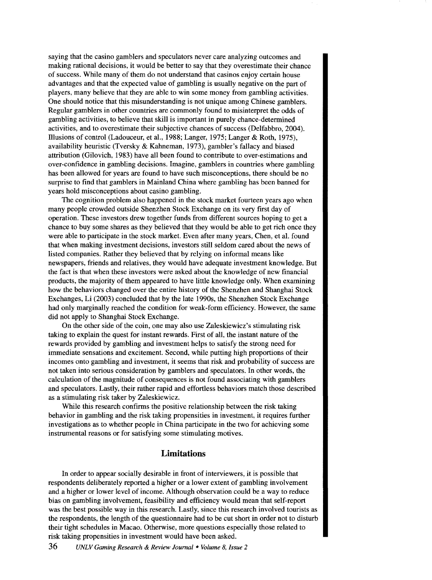saying that the casino gamblers and speculators never care analyzing outcomes and making rational decisions, it would be better to say that they overestimate their chance of success. While many of them do not understand that casinos enjoy certain house advantages and that the expected value of gambling is usually negative on the part of players, many believe that they are able to win some money from gambling activities. One should notice that this misunderstanding is not unique among Chinese gamblers. Regular gamblers in other countries are commonly found to misinterpret the odds of gambling activities, to believe that skill is important in purely chance-determined activities, and to overestimate their subjective chances of success (Delfabbro, 2004). Illusions of control (Ladouceur, et al., 1988; Langer, 1975; Langer & Roth, 1975), availability heuristic (Tversky & Kahneman, 1973), gambler's fallacy and biased attribution (Gilovich, 1983) have all been found to contribute to over-estimations and over-confidence in gambling decisions. Imagine, gamblers in countries where gambling has been allowed for years are found to have such misconceptions, there should be no surprise to find that gamblers in Mainland China where gambling has been banned for years hold misconceptions about casino gambling.

The cognition problem also happened in the stock market fourteen years ago when many people crowded outside Shenzhen Stock Exchange on its very first day of operation. These investors drew together funds from different sources hoping to get a chance to buy some shares as they believed that they would be able to get rich once they were able to participate in the stock market. Even after many years, Chen, et al. found that when making investment decisions, investors still seldom cared about the news of listed companies. Rather they believed that by relying on informal means like newspapers, friends and relatives, they would have adequate investment knowledge. But the fact is that when these investors were asked about the knowledge of new financial products, the majority of them appeared to have little knowledge only. When examining how the behaviors changed over the entire history of the Shenzhen and Shanghai Stock Exchanges, Li (2003) concluded that by the late 1990s, the Shenzhen Stock Exchange had only marginally reached the condition for weak-form efficiency. However, the same did not apply to Shanghai Stock Exchange.

On the other side of the coin, one may also use Zaleskiewicz's stimulating risk taking to explain the quest for instant rewards. First of all, the instant nature of the rewards provided by gambling and investment helps to satisfy the strong need for immediate sensations and excitement. Second, while putting high proportions of their incomes onto gambling and investment, it seems that risk and probability of success are not taken into serious consideration by gamblers and speculators. In other words, the calculation of the magnitude of consequences is not found associating with gamblers and speculators. Lastly, their rather rapid and effortless behaviors match those described as a stimulating risk taker by Zaleskiewicz.

While this research confirms the positive relationship between the risk taking behavior in gambling and the risk taking propensities in investment, it requires further investigations as to whether people in China participate in the two for achieving some instrumental reasons or for satisfying some stimulating motives.

# **Limitations**

In order to appear socially desirable in front of interviewers, it is possible that respondents deliberately reported a higher or a lower extent of gambling involvement and a higher or lower level of income. Although observation could be a way to reduce bias on gambling involvement, feasibility and efficiency would mean that self-report was the best possible way in this research. Lastly, since this research involved tourists as the respondents, the length of the questionnaire had to be cut short in order not to disturb their tight schedules in Macao. Otherwise, more questions especially those related to risk taking propensities in investment would have been asked.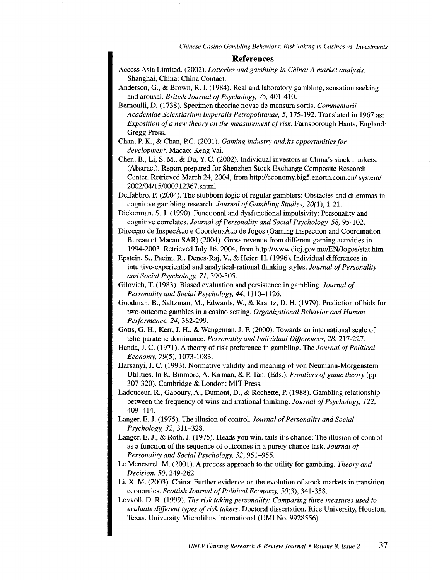*Chinese Casino Gambling Behaviors: Risk Taking in Casinos vs. Investments* 

#### **References**

- Access Asia Limited. (2002). *Lotteries and gambling in China: A market analysis.*  Shanghai, China: China Contact.
- Anderson, G., & Brown, R.I. (1984). Real and laboratory gambling, sensation seeking and arousal. *British Journal of Psychology, 75,* 401-410.
- Bernoulli, D. (1738). Specimen theoriae novae de mensura sortis. *Commentarii Academiae Scientiarium Imperalis Petropolitanae, 5,* 175-192. Translated in 1967 as: *Exposition of a new theory on the measurement of risk.* Farnsborough Hants, England: Gregg Press.
- Chan, P. K., & Chan, P.C. (2001). *Gaming industry and its opportunities for development.* Macao: Keng Vai.
- Chen, B., Li, S.M., & Du, Y. C. (2002). Individual investors in China's stock markets. (Abstract). Report prepared for Shenzhen Stock Exchange Composite Research Center. Retrieved March 24, 2004, from http://economy.big5.enorth.com.cn/ system/ 2002/04/15/000312367.shtml.
- Delfabbro, P. (2004). The stubborn logic of regular gamblers: Obstacles and dilemmas in cognitive gambling research. *Journal of Gambling Studies, 20(1),* 1-21.
- Dickerman, S. **J.** (1990). Functional and dysfunctional impulsivity: Personality and cognitive correlates. *Journal of Personality and Social Psychology, 58,* 95-102.
- Direcção de InspecÁ,,o e CoordenaÁ,,o de Jogos (Gaming Inspection and Coordination Bureau of Macau SAR) (2004). Gross revenue from different gaming activities in 1994-2003. Retrieved July 16, 2004, from http://www.dicj.gov.mo/EN/Jogos/stat.htm
- Epstein, S., Pacini, R., Denes-Raj, V., & Heier, **H.** (1996). Individual differences in intuitive-experiential and analytical-rational thinking styles. *Journal of Personality and Social Psychology, 71,* 390-505.
- Gilovich, T. (1983). Biased evaluation and persistence in gambling. *Journal of Personality and Social Psychology, 44,* 1110-1126.
- Goodman, B., Saltzman, M., Edwards, W., & Krantz, D. **H.** (1979). Prediction of bids for two-outcome gambles in a casino setting. *Organizational Behavior and Human Peiformance, 24,* 382-299.
- Gotts, G. H., Kerr, J. **H.,** & Wangeman, J. F. (2000). Towards an international scale of telic-paratelic dominance. *Personality and Individual Differences, 28,* 217-227.
- Handa, J. C. (1971). A theory of risk preference in gambling. The *Journal of Political Economy,* 79(5), 1073-1083.
- Harsanyi, J. C. (1993). Normative validity and meaning of von Neumann-Morgenstern Utilities. InK. Binmore, A. Kinnan, & P. Tani (Eds.). *Frontiers of game theory* (pp. 307-320). Cambridge & London: MIT Press.
- Ladouceur, R., Gaboury, A., Dumont, D., & Rochette, P. (1988). Gambling relationship between the frequency of wins and irrational thinking. *Journal of Psychology, 122,*  409-414.
- Langer, E. J. (1975). The illusion of control. *Journal of Personality and Social Psychology, 32,* 311-328.
- Langer, E. J., & Roth, **J.** (1975). Heads you win, tails it's chance: The illusion of control as a function of the sequence of outcomes in a purely chance task. *Journal of Personality and Social Psychology, 32,* 951-955.
- Le Menestrel, M. (2001). A process approach to the utility for gambling. *Theory and Decision, 50,* 249-262.
- Li, X. M. (2003). China: Further evidence on the evolution of stock markets in transition economies. *Scottish Journal of Political Economy, 50(3),* 341-358.
- Lovvoll, D. R. (1999). *The risk taking personality: Comparing three measures used to evaluate different types of risk takers.* Doctoral dissertation, Rice University, Houston, Texas. University Microfilms International (UMI No. 9928556).